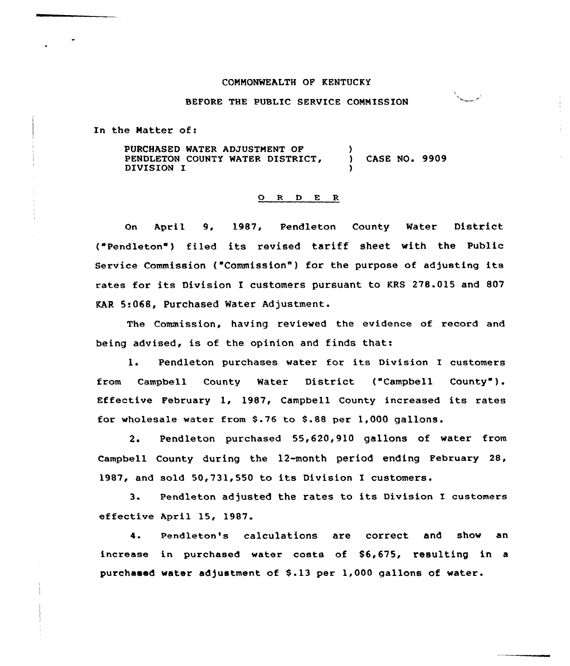### COMMONWEALTH OF KENTUCKY

# BEFORE THE PUBLIC SERVICE COMMISSION

In the Natter of:

PURCHASED WATER ADJUSTMENT OF PENDLETON COUNTY WATER DISTRICT, DIVISION I  $\lambda$ ) CASE NO. 9909 )

#### O R D E R

On April 9, 1987, Pendleton County Water District ("Pendleton" ) filed its revised tariff sheet with the Public Service Commission ("Commission") for the purpose of adjusting its rates for its Division I customers pursuant to KRS 278.015 and 807 KAR 5<068, Purchased Water Adjustment.

The Commission, having reviewed the evidence of record and being advised, is of the opinion and finds that:

1. Pendleton purchases water for its Division I customers from Campbell County Water District ("Campbell County"). Effective February 1, 1987, Campbell County increased its rates for wholesale water from \$.76 to \$.88 per 1,000 gallons.

2. Pendleton purchased 55,620,910 gallons of water from Campbell County during the 12-month period ending February 28, 1987, and sold 50,731,550 to its Division I customers.

3. Pendleton adjusted the rates to its Division I customers effective April 15, 1987.

Pendleton's calculations are correct and show an  $\mathbf{A}$ . increase in purchased water costs of \$6,675, resulting in a purchased water adjustment of \$.13 per 1,000 gallons of water.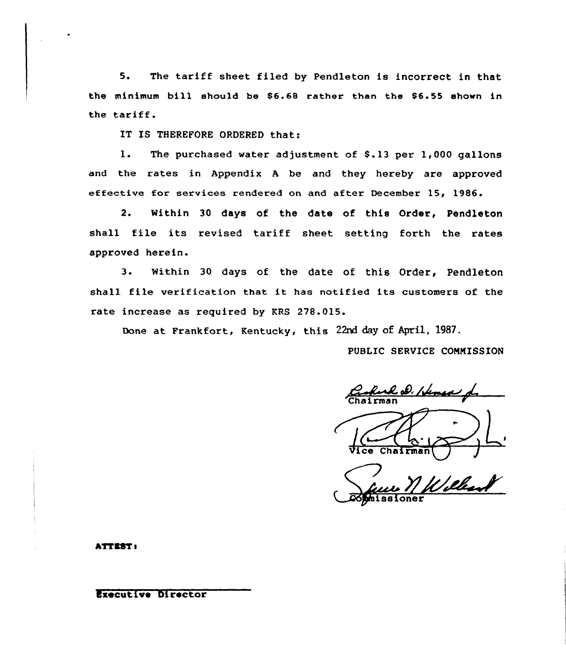5. The tariff sheet filed by Pendleton is incorrect in that the minimum bill should be  $$6.68$  rather than the  $$6.55$  shown in the tariff.

IT IS THEREFORE ORDERED that:

1. The purchased water adjustment of \$.13 per 1,000 gallons and the rates in Appendix <sup>A</sup> be and they hereby are approved effective for services rendered on and after December 15, 1986

 $2.$ Within 30 days of the date of this Order, Pendleton shall file its revised tariff sheet setting forth the rates approved herein.

3. Within <sup>30</sup> days of the date of this Order, Pendleton shall file verification that it has notified its customers of the rate increase as required by KRS 278.015.

Done at Frankfort, Kentucky, this 22nd day of April, 1987.

PUBLIC SERVICE COMMISSION

Ruk D. Hemer f.

 $\frac{16.18}{\text{Vice Chalman}}$ 

6Phissioner

hTTSSTa

Executive Director